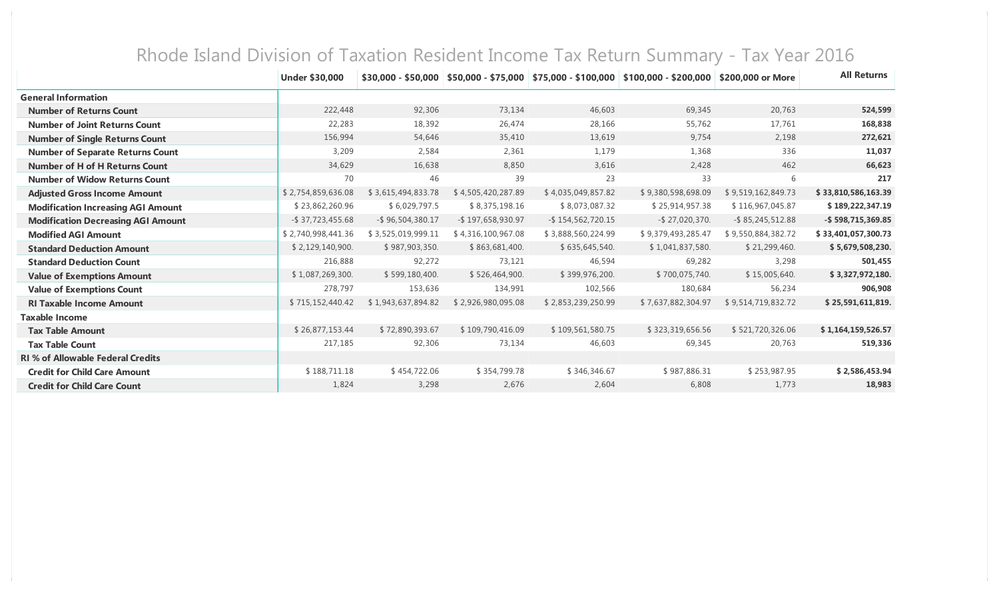|                                           | <b>Under \$30,000</b> | \$30,000 - \$50,000 | $$50,000 - $75,000$ |                      | $$75,000 - $100,000 \;   \; $100,000 - $200,000$ | \$200,000 or More   | <b>All Returns</b>  |
|-------------------------------------------|-----------------------|---------------------|---------------------|----------------------|--------------------------------------------------|---------------------|---------------------|
| <b>General Information</b>                |                       |                     |                     |                      |                                                  |                     |                     |
| <b>Number of Returns Count</b>            | 222,448               | 92,306              | 73,134              | 46,603               | 69,345                                           | 20,763              | 524,599             |
| <b>Number of Joint Returns Count</b>      | 22,283                | 18,392              | 26,474              | 28,166               | 55,762                                           | 17,761              | 168,838             |
| <b>Number of Single Returns Count</b>     | 156,994               | 54,646              | 35,410              | 13,619               | 9,754                                            | 2,198               | 272,621             |
| <b>Number of Separate Returns Count</b>   | 3,209                 | 2,584               | 2,361               | 1,179                | 1,368                                            | 336                 | 11,037              |
| <b>Number of H of H Returns Count</b>     | 34,629                | 16,638              | 8,850               | 3,616                | 2,428                                            | 462                 | 66,623              |
| <b>Number of Widow Returns Count</b>      | 70                    | 46                  | 39                  | 23                   | 33                                               | 6                   | 217                 |
| <b>Adjusted Gross Income Amount</b>       | \$2,754,859,636.08    | \$3,615,494,833.78  | \$4,505,420,287.89  | \$4,035,049,857.82   | \$9,380,598,698.09                               | \$9,519,162,849.73  | \$33,810,586,163.39 |
| <b>Modification Increasing AGI Amount</b> | \$23,862,260.96       | \$6,029,797.5       | \$8,375,198.16      | \$8,073,087.32       | \$25,914,957.38                                  | \$116,967,045.87    | \$189,222,347.19    |
| <b>Modification Decreasing AGI Amount</b> | $-$ \$ 37,723,455.68  | $-$ \$96,504,380.17 | -\$197,658,930.97   | $-$ \$154,562,720.15 | $-$ \$27,020,370.                                | $-$ \$85,245,512.88 | -\$598,715,369.85   |
| <b>Modified AGI Amount</b>                | \$2,740,998,441.36    | \$3,525,019,999.11  | \$4,316,100,967.08  | \$3,888,560,224.99   | \$9,379,493,285.47                               | \$9,550,884,382.72  | \$33,401,057,300.73 |
| <b>Standard Deduction Amount</b>          | \$2,129,140,900.      | \$987,903,350.      | \$863,681,400.      | \$635,645,540.       | \$1,041,837,580.                                 | \$21,299,460.       | \$5,679,508,230.    |
| <b>Standard Deduction Count</b>           | 216,888               | 92,272              | 73,121              | 46,594               | 69,282                                           | 3,298               | 501,455             |
| <b>Value of Exemptions Amount</b>         | \$1,087,269,300.      | \$599,180,400.      | \$526,464,900.      | \$399,976,200.       | \$700,075,740.                                   | \$15,005,640.       | \$3,327,972,180.    |
| <b>Value of Exemptions Count</b>          | 278,797               | 153,636             | 134,991             | 102,566              | 180,684                                          | 56,234              | 906,908             |
| <b>RI Taxable Income Amount</b>           | \$715,152,440.42      | \$1,943,637,894.82  | \$2,926,980,095.08  | \$2,853,239,250.99   | \$7,637,882,304.97                               | \$9,514,719,832.72  | \$25,591,611,819.   |
| <b>Taxable Income</b>                     |                       |                     |                     |                      |                                                  |                     |                     |
| <b>Tax Table Amount</b>                   | \$26,877,153.44       | \$72,890,393.67     | \$109,790,416.09    | \$109,561,580.75     | \$323,319,656.56                                 | \$521,720,326.06    | \$1,164,159,526.57  |
| <b>Tax Table Count</b>                    | 217,185               | 92,306              | 73,134              | 46,603               | 69,345                                           | 20,763              | 519,336             |
| <b>RI % of Allowable Federal Credits</b>  |                       |                     |                     |                      |                                                  |                     |                     |
| <b>Credit for Child Care Amount</b>       | \$188,711.18          | \$454,722.06        | \$354,799.78        | \$346,346.67         | \$987,886.31                                     | \$253,987.95        | \$2,586,453.94      |
| <b>Credit for Child Care Count</b>        | 1,824                 | 3,298               | 2,676               | 2,604                | 6,808                                            | 1,773               | 18,983              |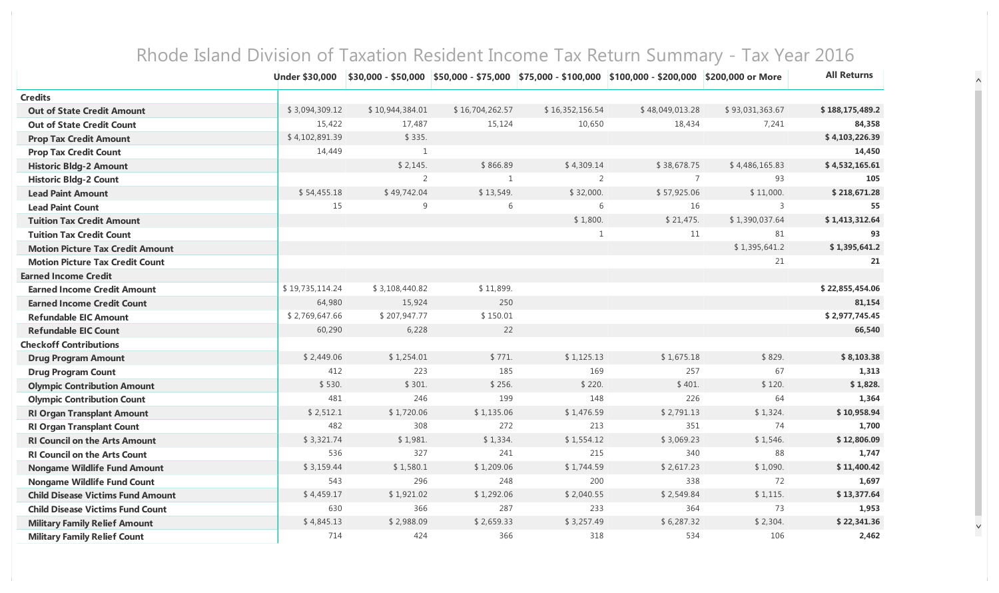|                                          | <b>Under \$30,000</b> |                 |                 |                 | \$30,000 - \$50,000   \$50,000 - \$75,000   \$75,000 - \$100,000   \$100,000 - \$200,000   \$200,000 or More |                 | <b>All Returns</b> |
|------------------------------------------|-----------------------|-----------------|-----------------|-----------------|--------------------------------------------------------------------------------------------------------------|-----------------|--------------------|
| <b>Credits</b>                           |                       |                 |                 |                 |                                                                                                              |                 |                    |
| <b>Out of State Credit Amount</b>        | \$3,094,309.12        | \$10,944,384.01 | \$16,704,262.57 | \$16,352,156.54 | \$48,049,013.28                                                                                              | \$93,031,363.67 | \$188,175,489.2    |
| <b>Out of State Credit Count</b>         | 15,422                | 17,487          | 15,124          | 10,650          | 18,434                                                                                                       | 7,241           | 84,358             |
| <b>Prop Tax Credit Amount</b>            | \$4,102,891.39        | \$335.          |                 |                 |                                                                                                              |                 | \$4,103,226.39     |
| <b>Prop Tax Credit Count</b>             | 14,449                | $\mathbf{1}$    |                 |                 |                                                                                                              |                 | 14,450             |
| <b>Historic Bldg-2 Amount</b>            |                       | \$2,145.        | \$866.89        | \$4,309.14      | \$38,678.75                                                                                                  | \$4,486,165.83  | \$4,532,165.61     |
| <b>Historic Bldg-2 Count</b>             |                       | $\overline{2}$  | $\mathbf{1}$    | $\overline{2}$  | $\overline{7}$                                                                                               | 93              | 105                |
| <b>Lead Paint Amount</b>                 | \$54,455.18           | \$49,742.04     | \$13,549.       | \$32,000.       | \$57,925.06                                                                                                  | \$11,000.       | \$218,671.28       |
| <b>Lead Paint Count</b>                  | 15                    | 9               | 6               | 6               | 16                                                                                                           | 3               | 55                 |
| <b>Tuition Tax Credit Amount</b>         |                       |                 |                 | \$1,800.        | \$21,475.                                                                                                    | \$1,390,037.64  | \$1,413,312.64     |
| <b>Tuition Tax Credit Count</b>          |                       |                 |                 | $\mathbf{1}$    | 11                                                                                                           | 81              | 93                 |
| <b>Motion Picture Tax Credit Amount</b>  |                       |                 |                 |                 |                                                                                                              | \$1,395,641.2   | \$1,395,641.2      |
| <b>Motion Picture Tax Credit Count</b>   |                       |                 |                 |                 |                                                                                                              | 21              | 21                 |
| <b>Earned Income Credit</b>              |                       |                 |                 |                 |                                                                                                              |                 |                    |
| <b>Earned Income Credit Amount</b>       | \$19,735,114.24       | \$3,108,440.82  | \$11,899.       |                 |                                                                                                              |                 | \$22,855,454.06    |
| <b>Earned Income Credit Count</b>        | 64,980                | 15,924          | 250             |                 |                                                                                                              |                 | 81,154             |
| <b>Refundable EIC Amount</b>             | \$2,769,647.66        | \$207,947.77    | \$150.01        |                 |                                                                                                              |                 | \$2,977,745.45     |
| <b>Refundable EIC Count</b>              | 60,290                | 6,228           | 22              |                 |                                                                                                              |                 | 66,540             |
| <b>Checkoff Contributions</b>            |                       |                 |                 |                 |                                                                                                              |                 |                    |
| <b>Drug Program Amount</b>               | \$2,449.06            | \$1,254.01      | \$771.          | \$1,125.13      | \$1,675.18                                                                                                   | \$829.          | \$8,103.38         |
| <b>Drug Program Count</b>                | 412                   | 223             | 185             | 169             | 257                                                                                                          | 67              | 1,313              |
| <b>Olympic Contribution Amount</b>       | \$530.                | \$301.          | \$256.          | \$220.          | \$401.                                                                                                       | \$120.          | \$1,828.           |
| <b>Olympic Contribution Count</b>        | 481                   | 246             | 199             | 148             | 226                                                                                                          | 64              | 1,364              |
| <b>RI Organ Transplant Amount</b>        | \$2,512.1             | \$1,720.06      | \$1,135.06      | \$1,476.59      | \$2,791.13                                                                                                   | \$1,324.        | \$10,958.94        |
| <b>RI Organ Transplant Count</b>         | 482                   | 308             | 272             | 213             | 351                                                                                                          | 74              | 1,700              |
| <b>RI Council on the Arts Amount</b>     | \$3,321.74            | \$1,981.        | \$1,334.        | \$1,554.12      | \$3,069.23                                                                                                   | \$1,546.        | \$12,806.09        |
| <b>RI Council on the Arts Count</b>      | 536                   | 327             | 241             | 215             | 340                                                                                                          | 88              | 1,747              |
| <b>Nongame Wildlife Fund Amount</b>      | \$3,159.44            | \$1,580.1       | \$1,209.06      | \$1,744.59      | \$2,617.23                                                                                                   | \$1,090.        | \$11,400.42        |
| <b>Nongame Wildlife Fund Count</b>       | 543                   | 296             | 248             | 200             | 338                                                                                                          | 72              | 1,697              |
| <b>Child Disease Victims Fund Amount</b> | \$4,459.17            | \$1,921.02      | \$1,292.06      | \$2,040.55      | \$2,549.84                                                                                                   | \$1,115.        | \$13,377.64        |
| <b>Child Disease Victims Fund Count</b>  | 630                   | 366             | 287             | 233             | 364                                                                                                          | 73              | 1,953              |
| <b>Military Family Relief Amount</b>     | \$4,845.13            | \$2,988.09      | \$2,659.33      | \$3,257.49      | \$6,287.32                                                                                                   | \$2,304.        | \$22,341.36        |
| <b>Military Family Relief Count</b>      | 714                   | 424             | 366             | 318             | 534                                                                                                          | 106             | 2,462              |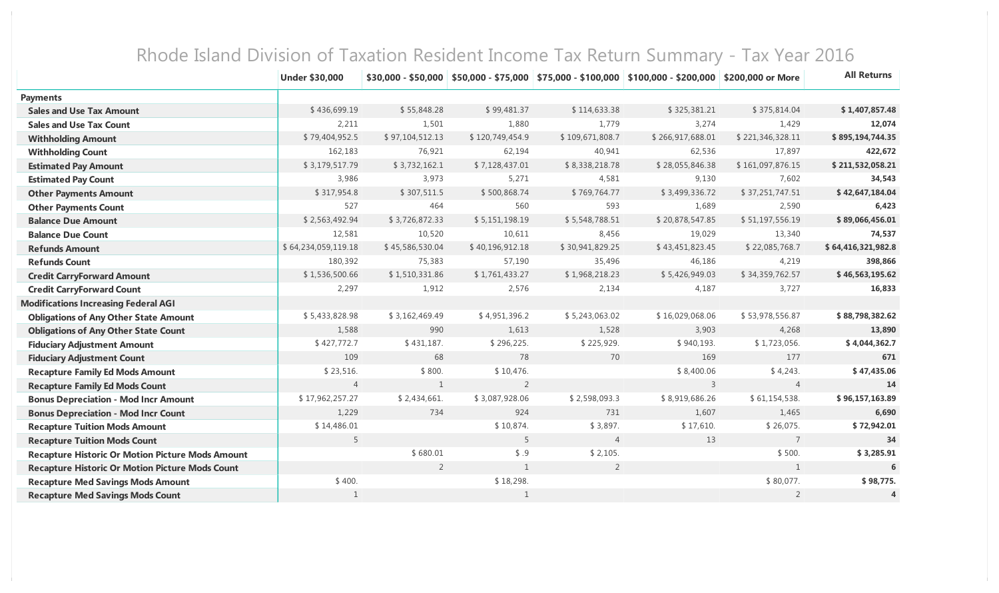|                                                         | <b>Under \$30,000</b> |                 |                  |                 | $$30,000 - $50,000$ \$50,000 - \$75,000 \$75,000 - \$100,000 \$100,000 - \$200,000 | \$200,000 or More | <b>All Returns</b> |
|---------------------------------------------------------|-----------------------|-----------------|------------------|-----------------|------------------------------------------------------------------------------------|-------------------|--------------------|
| <b>Payments</b>                                         |                       |                 |                  |                 |                                                                                    |                   |                    |
| <b>Sales and Use Tax Amount</b>                         | \$436,699.19          | \$55,848.28     | \$99,481.37      | \$114,633.38    | \$325,381.21                                                                       | \$375,814.04      | \$1,407,857.48     |
| <b>Sales and Use Tax Count</b>                          | 2,211                 | 1,501           | 1,880            | 1,779           | 3,274                                                                              | 1,429             | 12,074             |
| <b>Withholding Amount</b>                               | \$79,404,952.5        | \$97,104,512.13 | \$120,749,454.9  | \$109,671,808.7 | \$266,917,688.01                                                                   | \$221,346,328.11  | \$895,194,744.35   |
| <b>Withholding Count</b>                                | 162,183               | 76,921          | 62,194           | 40,941          | 62,536                                                                             | 17,897            | 422,672            |
| <b>Estimated Pay Amount</b>                             | \$3,179,517.79        | \$3,732,162.1   | \$7,128,437.01   | \$8,338,218.78  | \$28,055,846.38                                                                    | \$161,097,876.15  | \$211,532,058.21   |
| <b>Estimated Pay Count</b>                              | 3,986                 | 3,973           | 5,271            | 4,581           | 9,130                                                                              | 7,602             | 34,543             |
| <b>Other Payments Amount</b>                            | \$317,954.8           | \$307,511.5     | \$500,868.74     | \$769,764.77    | \$3,499,336.72                                                                     | \$37,251,747.51   | \$42,647,184.04    |
| <b>Other Payments Count</b>                             | 527                   | 464             | 560              | 593             | 1,689                                                                              | 2,590             | 6,423              |
| <b>Balance Due Amount</b>                               | \$2,563,492.94        | \$3,726,872.33  | \$5,151,198.19   | \$5,548,788.51  | \$20,878,547.85                                                                    | \$51,197,556.19   | \$89,066,456.01    |
| <b>Balance Due Count</b>                                | 12,581                | 10,520          | 10,611           | 8,456           | 19,029                                                                             | 13,340            | 74,537             |
| <b>Refunds Amount</b>                                   | \$64,234,059,119.18   | \$45,586,530.04 | \$40,196,912.18  | \$30,941,829.25 | \$43,451,823.45                                                                    | \$22,085,768.7    | \$64,416,321,982.8 |
| <b>Refunds Count</b>                                    | 180,392               | 75,383          | 57,190           | 35,496          | 46,186                                                                             | 4,219             | 398,866            |
| <b>Credit CarryForward Amount</b>                       | \$1,536,500.66        | \$1,510,331.86  | \$1,761,433.27   | \$1,968,218.23  | \$5,426,949.03                                                                     | \$34,359,762.57   | \$46,563,195.62    |
| <b>Credit CarryForward Count</b>                        | 2,297                 | 1,912           | 2,576            | 2,134           | 4,187                                                                              | 3,727             | 16,833             |
| <b>Modifications Increasing Federal AGI</b>             |                       |                 |                  |                 |                                                                                    |                   |                    |
| <b>Obligations of Any Other State Amount</b>            | \$5,433,828.98        | \$3,162,469.49  | \$4,951,396.2    | \$5,243,063.02  | \$16,029,068.06                                                                    | \$53,978,556.87   | \$88,798,382.62    |
| <b>Obligations of Any Other State Count</b>             | 1,588                 | 990             | 1,613            | 1,528           | 3,903                                                                              | 4,268             | 13,890             |
| <b>Fiduciary Adjustment Amount</b>                      | \$427,772.7           | \$431,187.      | \$296,225.       | \$225,929.      | \$940,193.                                                                         | \$1,723,056.      | \$4,044,362.7      |
| <b>Fiduciary Adjustment Count</b>                       | 109                   | 68              | 78               | 70              | 169                                                                                | 177               | 671                |
| <b>Recapture Family Ed Mods Amount</b>                  | \$23,516.             | \$800.          | \$10,476.        |                 | \$8,400.06                                                                         | \$4,243.          | \$47,435.06        |
| <b>Recapture Family Ed Mods Count</b>                   | $\overline{4}$        | 1               | $\overline{2}$   |                 | $\overline{3}$                                                                     | $\overline{4}$    | 14                 |
| <b>Bonus Depreciation - Mod Incr Amount</b>             | \$17,962,257.27       | \$2,434,661.    | \$3,087,928.06   | \$2,598,093.3   | \$8,919,686.26                                                                     | \$61,154,538.     | \$96,157,163.89    |
| <b>Bonus Depreciation - Mod Incr Count</b>              | 1,229                 | 734             | 924              | 731             | 1,607                                                                              | 1,465             | 6,690              |
| <b>Recapture Tuition Mods Amount</b>                    | \$14,486.01           |                 | \$10,874.        | \$3,897.        | \$17,610.                                                                          | \$26,075.         | \$72,942.01        |
| <b>Recapture Tuition Mods Count</b>                     | 5                     |                 | 5                | $\overline{4}$  | 13                                                                                 | $7\overline{ }$   | 34                 |
| <b>Recapture Historic Or Motion Picture Mods Amount</b> |                       | \$680.01        | $\frac{6}{9}$ .9 | \$2,105.        |                                                                                    | \$500.            | \$3,285.91         |
| <b>Recapture Historic Or Motion Picture Mods Count</b>  |                       | $\overline{2}$  | $\mathbf{1}$     | 2               |                                                                                    | 1                 | 6                  |
| <b>Recapture Med Savings Mods Amount</b>                | \$400.                |                 | \$18,298.        |                 |                                                                                    | \$80,077.         | \$98,775.          |
| <b>Recapture Med Savings Mods Count</b>                 | $\mathbf{1}$          |                 | $\mathbf{1}$     |                 |                                                                                    | $\overline{2}$    | 4                  |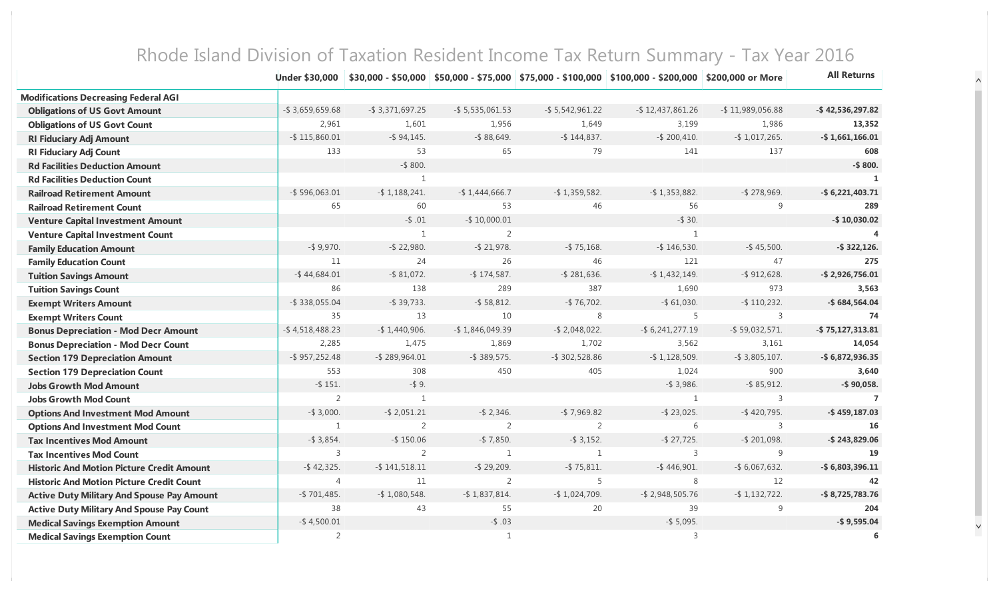|                                                   | <b>Under \$30,000</b> |                     |                     |                     | \$30,000 - \$50,000   \$50,000 - \$75,000   \$75,000 - \$100,000   \$100,000 - \$200,000   \$200,000 or More |                     | <b>All Returns</b>  |
|---------------------------------------------------|-----------------------|---------------------|---------------------|---------------------|--------------------------------------------------------------------------------------------------------------|---------------------|---------------------|
| <b>Modifications Decreasing Federal AGI</b>       |                       |                     |                     |                     |                                                                                                              |                     |                     |
| <b>Obligations of US Govt Amount</b>              | $-$ \$ 3,659,659.68   | $-$ \$ 3,371,697.25 | $-$ \$ 5,535,061.53 | $-$ \$ 5,542,961.22 | $-$ \$12,437,861.26                                                                                          | $-$ \$11,989,056.88 | $-$ \$42,536,297.82 |
| <b>Obligations of US Govt Count</b>               | 2,961                 | 1,601               | 1,956               | 1,649               | 3,199                                                                                                        | 1,986               | 13,352              |
| <b>RI Fiduciary Adj Amount</b>                    | $-$ \$115,860.01      | $-$ \$94,145.       | $-$ \$88,649.       | $-$ \$144,837.      | $-$ \$ 200,410.                                                                                              | $-$ \$1,017,265.    | $-$ \$1,661,166.01  |
| <b>RI Fiduciary Adj Count</b>                     | 133                   | 53                  | 65                  | 79                  | 141                                                                                                          | 137                 | 608                 |
| <b>Rd Facilities Deduction Amount</b>             |                       | $-$ \$ 800.         |                     |                     |                                                                                                              |                     | $-$ \$ 800.         |
| <b>Rd Facilities Deduction Count</b>              |                       | $\mathbf{1}$        |                     |                     |                                                                                                              |                     |                     |
| <b>Railroad Retirement Amount</b>                 | $-$ \$596,063.01      | $-$ \$1,188,241.    | $-$ \$1,444,666.7   | $-$ \$1,359,582.    | $-$ \$1,353,882.                                                                                             | $-$ \$278,969.      | $-$ \$6,221,403.71  |
| <b>Railroad Retirement Count</b>                  | 65                    | 60                  | 53                  | 46                  | 56                                                                                                           | 9                   | 289                 |
| <b>Venture Capital Investment Amount</b>          |                       | $-$ \$ .01          | $-$ \$10,000.01     |                     | $-$ \$ 30.                                                                                                   |                     | $-$ \$10,030.02     |
| <b>Venture Capital Investment Count</b>           |                       | 1                   | $\overline{2}$      |                     | 1                                                                                                            |                     |                     |
| <b>Family Education Amount</b>                    | $-$ \$9,970.          | $-$ \$ 22,980.      | $-$ \$ 21,978.      | $-$ \$ 75,168.      | $-$ \$146,530.                                                                                               | $-$ \$45,500.       | $-$ \$ 322,126.     |
| <b>Family Education Count</b>                     | 11                    | 24                  | 26                  | 46                  | 121                                                                                                          | 47                  | 275                 |
| <b>Tuition Savings Amount</b>                     | $-$ \$44,684.01       | $-$ \$ 81,072.      | $-$ \$174,587.      | $-$ \$ 281,636.     | $-$ \$1,432,149.                                                                                             | $-$ \$912,628.      | $-$ \$2,926,756.01  |
| <b>Tuition Savings Count</b>                      | 86                    | 138                 | 289                 | 387                 | 1,690                                                                                                        | 973                 | 3,563               |
| <b>Exempt Writers Amount</b>                      | $-$ \$ 338,055.04     | $-$ \$ 39,733.      | $-$ \$ 58,812.      | $-$ \$76,702.       | $-$ \$ 61,030.                                                                                               | $-$ \$110,232.      | $-$ \$684,564.04    |
| <b>Exempt Writers Count</b>                       | 35                    | 13                  | 10                  | 8                   | 5                                                                                                            | 3                   | 74                  |
| <b>Bonus Depreciation - Mod Decr Amount</b>       | $-$ \$4,518,488.23    | $-$ \$1,440,906.    | $-$ \$1,846,049.39  | $-$ \$ 2,048,022.   | $-$ \$ 6,241,277.19                                                                                          | $-$ \$ 59,032,571.  | $-$ \$75,127,313.81 |
| <b>Bonus Depreciation - Mod Decr Count</b>        | 2,285                 | 1,475               | 1,869               | 1,702               | 3,562                                                                                                        | 3,161               | 14,054              |
| <b>Section 179 Depreciation Amount</b>            | $-$ \$957,252.48      | $-$ \$289,964.01    | $-$ \$ 389,575.     | $-$ \$ 302,528.86   | $-$ \$1,128,509.                                                                                             | $-$ \$ 3,805,107.   | $-$ \$6,872,936.35  |
| <b>Section 179 Depreciation Count</b>             | 553                   | 308                 | 450                 | 405                 | 1,024                                                                                                        | 900                 | 3,640               |
| <b>Jobs Growth Mod Amount</b>                     | $-$ \$151.            | $-$ \$9.            |                     |                     | $-$ \$ 3,986.                                                                                                | $-$ \$ 85,912.      | $-$ \$90,058.       |
| <b>Jobs Growth Mod Count</b>                      | $\overline{2}$        | $\mathbf{1}$        |                     |                     | 1                                                                                                            | 3                   | $\overline{7}$      |
| <b>Options And Investment Mod Amount</b>          | $-$ \$ 3,000.         | $-$ \$ 2,051.21     | $-$ \$ 2,346.       | $-$ \$ 7,969.82     | $-$ \$ 23,025.                                                                                               | $-$ \$420,795.      | $-$ \$459,187.03    |
| <b>Options And Investment Mod Count</b>           | $\mathbf{1}$          | $\overline{2}$      | $\overline{2}$      | $\overline{2}$      | 6                                                                                                            | $\overline{3}$      | 16                  |
| <b>Tax Incentives Mod Amount</b>                  | $-$ \$ 3,854.         | $-$ \$150.06        | $-$ \$7,850.        | $-$ \$ 3,152.       | $-$ \$ 27,725.                                                                                               | $-$ \$ 201,098.     | $-$ \$243,829.06    |
| <b>Tax Incentives Mod Count</b>                   | 3                     | $\overline{2}$      | $\mathbf{1}$        | $\mathbf{1}$        | 3                                                                                                            | 9                   | 19                  |
| <b>Historic And Motion Picture Credit Amount</b>  | $-$ \$42,325.         | $-$ \$141,518.11    | $-$ \$ 29,209.      | $-$ \$ 75,811.      | $-$ \$446,901.                                                                                               | $-$ \$ 6,067,632.   | $-$ \$6,803,396.11  |
| <b>Historic And Motion Picture Credit Count</b>   | $\overline{4}$        | 11                  | 2                   | 5                   | 8                                                                                                            | 12                  | 42                  |
| <b>Active Duty Military And Spouse Pay Amount</b> | $-$ \$701,485.        | $-$ \$1,080,548.    | $-$ \$1,837,814.    | $-$ \$1,024,709.    | $-$ \$2,948,505.76                                                                                           | $-$ \$1,132,722.    | $-$ \$8,725,783.76  |
| <b>Active Duty Military And Spouse Pay Count</b>  | 38                    | 43                  | 55                  | 20                  | 39                                                                                                           | 9                   | 204                 |
| <b>Medical Savings Exemption Amount</b>           | $-$ \$4,500.01        |                     | $-$ \$.03           |                     | $-$ \$ 5,095.                                                                                                |                     | $-$ \$9,595.04      |
| <b>Medical Savings Exemption Count</b>            | $\overline{2}$        |                     | $\mathbf{1}$        |                     | 3                                                                                                            |                     | 6                   |